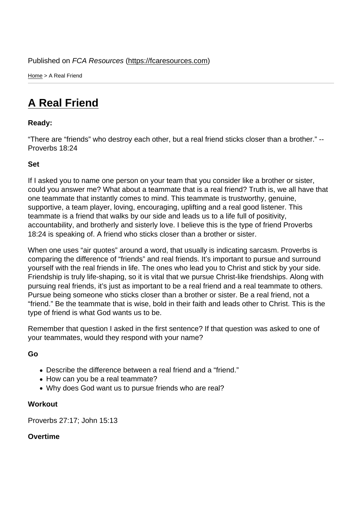Home > A Real Friend

## [A R](https://fcaresources.com/)eal Friend

Ready:

["There are "friends" wh](https://fcaresources.com/devotional/real-friend)o destroy each other, but a real friend sticks closer than a brother." -- Proverbs 18:24

Set

If I asked you to name one person on your team that you consider like a brother or sister, could you answer me? What about a teammate that is a real friend? Truth is, we all have that one teammate that instantly comes to mind. This teammate is trustworthy, genuine, supportive, a team player, loving, encouraging, uplifting and a real good listener. This teammate is a friend that walks by our side and leads us to a life full of positivity, accountability, and brotherly and sisterly love. I believe this is the type of friend Proverbs 18:24 is speaking of. A friend who sticks closer than a brother or sister.

When one uses "air quotes" around a word, that usually is indicating sarcasm. Proverbs is comparing the difference of "friends" and real friends. It's important to pursue and surround yourself with the real friends in life. The ones who lead you to Christ and stick by your side. Friendship is truly life-shaping, so it is vital that we pursue Christ-like friendships. Along with pursuing real friends, it's just as important to be a real friend and a real teammate to others. Pursue being someone who sticks closer than a brother or sister. Be a real friend, not a "friend." Be the teammate that is wise, bold in their faith and leads other to Christ. This is the type of friend is what God wants us to be.

Remember that question I asked in the first sentence? If that question was asked to one of your teammates, would they respond with your name?

Go

- Describe the difference between a real friend and a "friend."
- How can you be a real teammate?
- Why does God want us to pursue friends who are real?

**Workout** 

Proverbs 27:17; John 15:13

Overtime